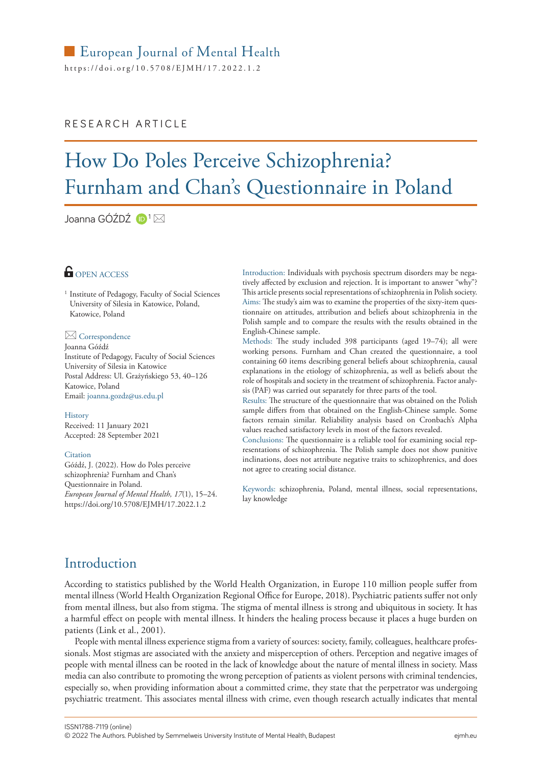https://[doi.org/10.5708/EJMH](https://doi.org/10.5708/EJMH/17.2022.1.1)/17.2022.1.2

## RESEARCH ARTICLE

# How Do Poles Perceive Schizophrenia? Furnham and Chan's Questionnaire in Poland

Joanna GÓŹDŹ D<sup>1</sup>⊠

# **G** OPEN ACCESS

<sup>1</sup> Institute of Pedagogy, Faculty of Social Sciences University of Silesia in Katowice, Poland, Katowice, Poland

#### Correspondence

Joanna Góźdź Institute of Pedagogy, Faculty of Social Sciences University of Silesia in Katowice Postal Address: Ul. Grażyńskiego 53, 40–126 Katowice, Poland Email: [joanna.gozdz@us.edu.pl](mailto:joanna.gozdz@us.edu.pl)

#### History

Received: 11 January 2021 Accepted: 28 September 2021

#### **Citation**

Góźdź, J. (2022). How do Poles perceive schizophrenia? Furnham and Chan's Questionnaire in Poland. *European Journal of Mental Health, 17*(1), 15–24. https://[doi.org/10.5708/EJMH](https://doi.org/10.5708/EJMH/17.2022.1.2)/17.2022.1.2

Introduction: Individuals with psychosis spectrum disorders may be negatively affected by exclusion and rejection. It is important to answer "why"? This article presents social representations of schizophrenia in Polish society. Aims: The study's aim was to examine the properties of the sixty-item questionnaire on attitudes, attribution and beliefs about schizophrenia in the Polish sample and to compare the results with the results obtained in the English-Chinese sample.

Methods: The study included 398 participants (aged 19–74); all were working persons. Furnham and Chan created the questionnaire, a tool containing 60 items describing general beliefs about schizophrenia, causal explanations in the etiology of schizophrenia, as well as beliefs about the role of hospitals and society in the treatment of schizophrenia. Factor analysis (PAF) was carried out separately for three parts of the tool.

Results: The structure of the questionnaire that was obtained on the Polish sample differs from that obtained on the English-Chinese sample. Some factors remain similar. Reliability analysis based on Cronbach's Alpha values reached satisfactory levels in most of the factors revealed.

Conclusions: The questionnaire is a reliable tool for examining social representations of schizophrenia. The Polish sample does not show punitive inclinations, does not attribute negative traits to schizophrenics, and does not agree to creating social distance.

Keywords: schizophrenia, Poland, mental illness, social representations, lay knowledge

# Introduction

According to statistics published by the World Health Organization, in Europe 110 million people suffer from mental illness (World Health Organization Regional Office for Europe, 2018). Psychiatric patients suffer not only from mental illness, but also from stigma. The stigma of mental illness is strong and ubiquitous in society. It has a harmful effect on people with mental illness. It hinders the healing process because it places a huge burden on patients (Link et al., 2001).

People with mental illness experience stigma from a variety of sources: society, family, colleagues, healthcare professionals. Most stigmas are associated with the anxiety and misperception of others. Perception and negative images of people with mental illness can be rooted in the lack of knowledge about the nature of mental illness in society. Mass media can also contribute to promoting the wrong perception of patients as violent persons with criminal tendencies, especially so, when providing information about a committed crime, they state that the perpetrator was undergoing psychiatric treatment. This associates mental illness with crime, even though research actually indicates that mental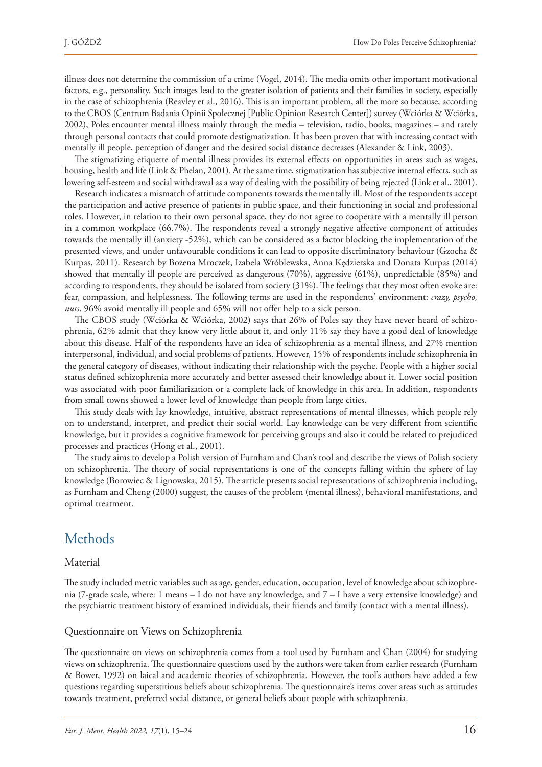illness does not determine the commission of a crime (Vogel, 2014). The media omits other important motivational factors, e.g., personality. Such images lead to the greater isolation of patients and their families in society, especially in the case of schizophrenia (Reavley et al., 2016). This is an important problem, all the more so because, according to the CBOS (Centrum Badania Opinii Społecznej [Public Opinion Research Center]) survey (Wciórka & Wciórka, 2002), Poles encounter mental illness mainly through the media – television, radio, books, magazines – and rarely through personal contacts that could promote destigmatization. It has been proven that with increasing contact with mentally ill people, perception of danger and the desired social distance decreases (Alexander & Link, 2003).

The stigmatizing etiquette of mental illness provides its external effects on opportunities in areas such as wages, housing, health and life (Link & Phelan, 2001). At the same time, stigmatization has subjective internal effects, such as lowering self-esteem and social withdrawal as a way of dealing with the possibility of being rejected (Link et al., 2001).

Research indicates a mismatch of attitude components towards the mentally ill. Most of the respondents accept the participation and active presence of patients in public space, and their functioning in social and professional roles. However, in relation to their own personal space, they do not agree to cooperate with a mentally ill person in a common workplace (66.7%). The respondents reveal a strongly negative affective component of attitudes towards the mentally ill (anxiety -52%), which can be considered as a factor blocking the implementation of the presented views, and under unfavourable conditions it can lead to opposite discriminatory behaviour (Gzocha & Kurpas, 2011). Research by Bożena Mroczek, Izabela Wróblewska, Anna Kędzierska and Donata Kurpas (2014) showed that mentally ill people are perceived as dangerous (70%), aggressive (61%), unpredictable (85%) and according to respondents, they should be isolated from society (31%). The feelings that they most often evoke are: fear, compassion, and helplessness. The following terms are used in the respondents' environment: *crazy, psycho, nuts*. 96% avoid mentally ill people and 65% will not offer help to a sick person.

The CBOS study (Wciórka & Wciórka, 2002) says that 26% of Poles say they have never heard of schizophrenia, 62% admit that they know very little about it, and only 11% say they have a good deal of knowledge about this disease. Half of the respondents have an idea of schizophrenia as a mental illness, and 27% mention interpersonal, individual, and social problems of patients. However, 15% of respondents include schizophrenia in the general category of diseases, without indicating their relationship with the psyche. People with a higher social status defined schizophrenia more accurately and better assessed their knowledge about it. Lower social position was associated with poor familiarization or a complete lack of knowledge in this area. In addition, respondents from small towns showed a lower level of knowledge than people from large cities.

This study deals with lay knowledge, intuitive, abstract representations of mental illnesses, which people rely on to understand, interpret, and predict their social world. Lay knowledge can be very different from scientific knowledge, but it provides a cognitive framework for perceiving groups and also it could be related to prejudiced processes and practices (Hong et al., 2001).

The study aims to develop a Polish version of Furnham and Chan's tool and describe the views of Polish society on schizophrenia. The theory of social representations is one of the concepts falling within the sphere of lay knowledge (Borowiec & Lignowska, 2015). The article presents social representations of schizophrenia including, as Furnham and Cheng (2000) suggest, the causes of the problem (mental illness), behavioral manifestations, and optimal treatment.

# Methods

#### Material

The study included metric variables such as age, gender, education, occupation, level of knowledge about schizophrenia (7-grade scale, where: 1 means – I do not have any knowledge, and 7 – I have a very extensive knowledge) and the psychiatric treatment history of examined individuals, their friends and family (contact with a mental illness).

#### Questionnaire on Views on Schizophrenia

The questionnaire on views on schizophrenia comes from a tool used by Furnham and Chan (2004) for studying views on schizophrenia. The questionnaire questions used by the authors were taken from earlier research (Furnham & Bower, 1992) on laical and academic theories of schizophrenia. However, the tool's authors have added a few questions regarding superstitious beliefs about schizophrenia. The questionnaire's items cover areas such as attitudes towards treatment, preferred social distance, or general beliefs about people with schizophrenia.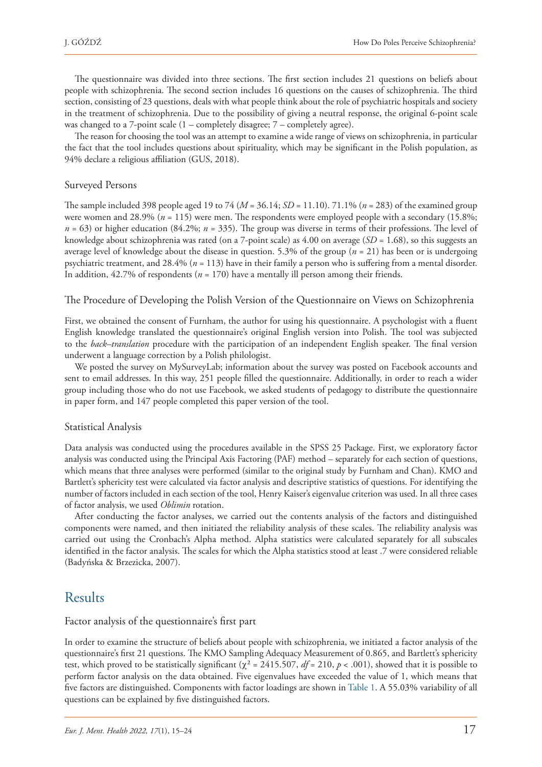The questionnaire was divided into three sections. The first section includes 21 questions on beliefs about people with schizophrenia. The second section includes 16 questions on the causes of schizophrenia. The third section, consisting of 23 questions, deals with what people think about the role of psychiatric hospitals and society in the treatment of schizophrenia. Due to the possibility of giving a neutral response, the original 6-point scale was changed to a 7-point scale (1 – completely disagree; 7 – completely agree).

The reason for choosing the tool was an attempt to examine a wide range of views on schizophrenia, in particular the fact that the tool includes questions about spirituality, which may be significant in the Polish population, as 94% declare a religious affiliation (GUS, 2018).

#### Surveyed Persons

The sample included 398 people aged 19 to 74 (*M* = 36.14; *SD* = 11.10). 71.1% (*n* = 283) of the examined group were women and 28.9% (*n* = 115) were men. The respondents were employed people with a secondary (15.8%; *n* = 63) or higher education (84.2%; *n* = 335). The group was diverse in terms of their professions. The level of knowledge about schizophrenia was rated (on a 7-point scale) as 4.00 on average (*SD* = 1.68), so this suggests an average level of knowledge about the disease in question. 5.3% of the group (*n* = 21) has been or is undergoing psychiatric treatment, and 28.4% (*n* = 113) have in their family a person who is suffering from a mental disorder. In addition, 42.7% of respondents (*n* = 170) have a mentally ill person among their friends.

#### The Procedure of Developing the Polish Version of the Questionnaire on Views on Schizophrenia

First, we obtained the consent of Furnham, the author for using his questionnaire. A psychologist with a fluent English knowledge translated the questionnaire's original English version into Polish. The tool was subjected to the *back–translation* procedure with the participation of an independent English speaker. The final version underwent a language correction by a Polish philologist.

We posted the survey on MySurveyLab; information about the survey was posted on Facebook accounts and sent to email addresses. In this way, 251 people filled the questionnaire. Additionally, in order to reach a wider group including those who do not use Facebook, we asked students of pedagogy to distribute the questionnaire in paper form, and 147 people completed this paper version of the tool.

#### Statistical Analysis

Data analysis was conducted using the procedures available in the SPSS 25 Package. First, we exploratory factor analysis was conducted using the Principal Axis Factoring (PAF) method – separately for each section of questions, which means that three analyses were performed (similar to the original study by Furnham and Chan). KMO and Bartlett's sphericity test were calculated via factor analysis and descriptive statistics of questions. For identifying the number of factors included in each section of the tool, Henry Kaiser's eigenvalue criterion was used. In all three cases of factor analysis, we used *Oblimin* rotation.

After conducting the factor analyses, we carried out the contents analysis of the factors and distinguished components were named, and then initiated the reliability analysis of these scales. The reliability analysis was carried out using the Cronbach's Alpha method. Alpha statistics were calculated separately for all subscales identified in the factor analysis. The scales for which the Alpha statistics stood at least .7 were considered reliable (Badyńska & Brzezicka, 2007).

# Results

#### Factor analysis of the questionnaire's first part

In order to examine the structure of beliefs about people with schizophrenia, we initiated a factor analysis of the questionnaire's first 21 questions. The KMO Sampling Adequacy Measurement of 0.865, and Bartlett's sphericity test, which proved to be statistically significant ( $\chi^2$  = 2415.507, *df* = 210, *p* < .001), showed that it is possible to perform factor analysis on the data obtained. Five eigenvalues have exceeded the value of 1, which means that five factors are distinguished. Components with factor loadings are shown in Table 1. A 55.03% variability of all questions can be explained by five distinguished factors.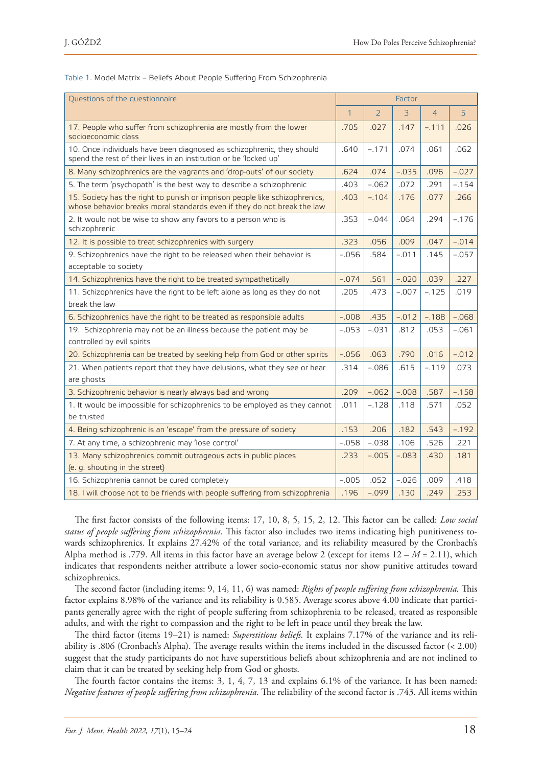| Questions of the questionnaire                                                                                                                         | Factor       |                |                |                |         |
|--------------------------------------------------------------------------------------------------------------------------------------------------------|--------------|----------------|----------------|----------------|---------|
|                                                                                                                                                        | $\mathbf{1}$ | $\overline{2}$ | $\overline{3}$ | $\overline{4}$ | 5       |
| 17. People who suffer from schizophrenia are mostly from the lower<br>socioeconomic class                                                              | .705         | .027           | .147           | $-.111$        | .026    |
| 10. Once individuals have been diagnosed as schizophrenic, they should<br>spend the rest of their lives in an institution or be 'locked up'            | .640         | $-.171$        | .074           | .061           | .062    |
| 8. Many schizophrenics are the vagrants and 'drop-outs' of our society                                                                                 | .624         | .074           | $-.035$        | .096           | $-.027$ |
| 5. The term 'psychopath' is the best way to describe a schizophrenic                                                                                   | .403         | $-.062$        | .072           | .291           | $-.154$ |
| 15. Society has the right to punish or imprison people like schizophrenics,<br>whose behavior breaks moral standards even if they do not break the law | .403         | $-.104$        | .176           | .077           | .266    |
| 2. It would not be wise to show any favors to a person who is<br>schizophrenic                                                                         | .353         | $-.044$        | .064           | .294           | $-.176$ |
| 12. It is possible to treat schizophrenics with surgery                                                                                                | .323         | .056           | .009           | .047           | $-.014$ |
| 9. Schizophrenics have the right to be released when their behavior is<br>acceptable to society                                                        | $-.056$      | .584           | $-.011$        | .145           | $-.057$ |
| 14. Schizophrenics have the right to be treated sympathetically                                                                                        | $-.074$      | .561           | $-.020$        | .039           | .227    |
| 11. Schizophrenics have the right to be left alone as long as they do not                                                                              | .205         | .473           | $-.007$        | $-.125$        | .019    |
| break the law                                                                                                                                          |              |                |                |                |         |
| 6. Schizophrenics have the right to be treated as responsible adults                                                                                   | $-.008$      | .435           | $-.012$        | $-.188$        | $-.068$ |
| 19. Schizophrenia may not be an illness because the patient may be<br>controlled by evil spirits                                                       | $-.053$      | $-.031$        | .812           | .053           | $-.061$ |
| 20. Schizophrenia can be treated by seeking help from God or other spirits                                                                             | $-.056$      | .063           | .790           | .016           | $-.012$ |
| 21. When patients report that they have delusions, what they see or hear<br>are ghosts                                                                 | .314         | $-.086$        | .615           | $-.119$        | .073    |
| 3. Schizophrenic behavior is nearly always bad and wrong                                                                                               | .209         | $-.062$        | $-.008$        | .587           | $-.158$ |
| 1. It would be impossible for schizophrenics to be employed as they cannot<br>be trusted                                                               | .011         | $-.128$        | .118           | .571           | .052    |
| 4. Being schizophrenic is an 'escape' from the pressure of society                                                                                     | .153         | .206           | .182           | .543           | $-.192$ |
| 7. At any time, a schizophrenic may 'lose control'                                                                                                     | $-.058$      | $-.038$        | .106           | .526           | .221    |
| 13. Many schizophrenics commit outrageous acts in public places                                                                                        | .233         | $-.005$        | $-.083$        | .430           | .181    |
| (e. g. shouting in the street)                                                                                                                         |              |                |                |                |         |
| 16. Schizophrenia cannot be cured completely                                                                                                           | $-.005$      | .052           | $-.026$        | .009           | .418    |
| 18. I will choose not to be friends with people suffering from schizophrenia                                                                           | .196         | $-.099$        | .130           | .249           | .253    |

Table 1. Model Matrix – Beliefs About People Suffering From Schizophrenia

The first factor consists of the following items: 17, 10, 8, 5, 15, 2, 12. This factor can be called: *Low social status of people suffering from schizophrenia.* This factor also includes two items indicating high punitiveness towards schizophrenics. It explains 27.42% of the total variance, and its reliability measured by the Cronbach's Alpha method is .779. All items in this factor have an average below 2 (except for items 12 – *M* = 2.11), which indicates that respondents neither attribute a lower socio-economic status nor show punitive attitudes toward schizophrenics.

The second factor (including items: 9, 14, 11, 6) was named: *Rights of people suffering from schizophrenia.* This factor explains 8.98% of the variance and its reliability is 0.585. Average scores above 4.00 indicate that participants generally agree with the right of people suffering from schizophrenia to be released, treated as responsible adults, and with the right to compassion and the right to be left in peace until they break the law.

The third factor (items 19–21) is named: *Superstitious beliefs.* It explains 7.17% of the variance and its reliability is .806 (Cronbach's Alpha). The average results within the items included in the discussed factor (< 2.00) suggest that the study participants do not have superstitious beliefs about schizophrenia and are not inclined to claim that it can be treated by seeking help from God or ghosts.

The fourth factor contains the items: 3, 1, 4, 7, 13 and explains 6.1% of the variance. It has been named: *Negative features of people suffering from schizophrenia.* The reliability of the second factor is .743. All items within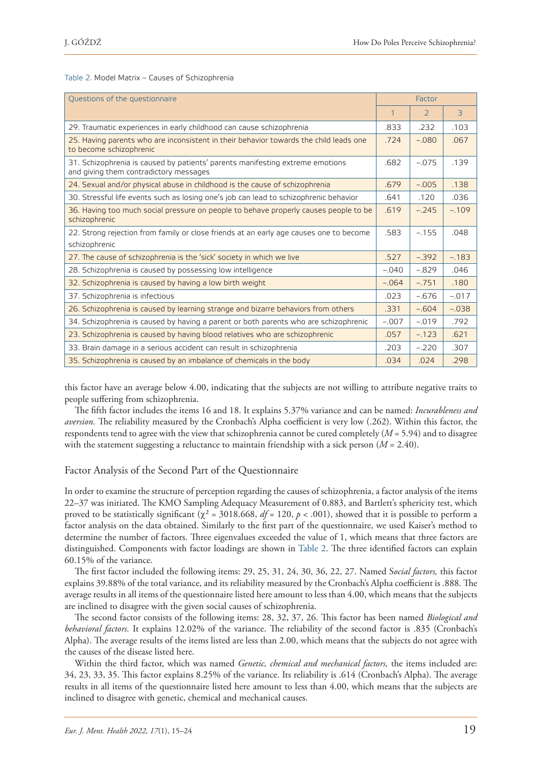Table 2. Model Matrix – Causes of Schizophrenia

| Questions of the questionnaire                                                                                          | Factor  |               |         |
|-------------------------------------------------------------------------------------------------------------------------|---------|---------------|---------|
|                                                                                                                         | 1       | $\mathcal{P}$ | 3       |
| 29. Traumatic experiences in early childhood can cause schizophrenia                                                    | .833    | .232          | .103    |
| 25. Having parents who are inconsistent in their behavior towards the child leads one<br>to become schizophrenic        | .724    | $-.080$       | .067    |
| 31. Schizophrenia is caused by patients' parents manifesting extreme emotions<br>and giving them contradictory messages | .682    | $-.075$       | .139    |
| 24. Sexual and/or physical abuse in childhood is the cause of schizophrenia                                             | .679    | $-.005$       | .138    |
| 30. Stressful life events such as losing one's job can lead to schizophrenic behavior                                   | .641    | .120          | .036    |
| 36. Having too much social pressure on people to behave properly causes people to be<br>schizophrenic                   | .619    | $-.245$       | $-.109$ |
| 22. Strong rejection from family or close friends at an early age causes one to become                                  | .583    | $-.155$       | .048    |
| schizophrenic                                                                                                           |         |               |         |
| 27. The cause of schizophrenia is the 'sick' society in which we live                                                   | .527    | $-.392$       | $-.183$ |
| 28. Schizophrenia is caused by possessing low intelligence                                                              | $-.040$ | $-.829$       | .046    |
| 32. Schizophrenia is caused by having a low birth weight                                                                | $-.064$ | $-.751$       | .180    |
| 37. Schizophrenia is infectious                                                                                         | .023    | $-.676$       | $-.017$ |
| 26. Schizophrenia is caused by learning strange and bizarre behaviors from others                                       | .331    | $-.604$       | $-.038$ |
| 34. Schizophrenia is caused by having a parent or both parents who are schizophrenic                                    | $-.007$ | $-.019$       | .792    |
| 23. Schizophrenia is caused by having blood relatives who are schizophrenic                                             | .057    | $-.123$       | .621    |
| 33. Brain damage in a serious accident can result in schizophrenia                                                      | .203    | $-.220$       | .307    |
| 35. Schizophrenia is caused by an imbalance of chemicals in the body                                                    | .034    | .024          | .298    |

this factor have an average below 4.00, indicating that the subjects are not willing to attribute negative traits to people suffering from schizophrenia.

The fifth factor includes the items 16 and 18. It explains 5.37% variance and can be named: *Incurableness and aversion.* The reliability measured by the Cronbach's Alpha coefficient is very low (.262). Within this factor, the respondents tend to agree with the view that schizophrenia cannot be cured completely (*M* = 5.94) and to disagree with the statement suggesting a reluctance to maintain friendship with a sick person (*M* = 2.40).

#### Factor Analysis of the Second Part of the Questionnaire

In order to examine the structure of perception regarding the causes of schizophrenia, a factor analysis of the items 22–37 was initiated. The KMO Sampling Adequacy Measurement of 0.883, and Bartlett's sphericity test, which proved to be statistically significant ( $\chi^2$  = 3018.668,  $df = 120$ ,  $p < .001$ ), showed that it is possible to perform a factor analysis on the data obtained. Similarly to the first part of the questionnaire, we used Kaiser's method to determine the number of factors. Three eigenvalues exceeded the value of 1, which means that three factors are distinguished. Components with factor loadings are shown in Table 2. The three identified factors can explain 60.15% of the variance.

The first factor included the following items: 29, 25, 31, 24, 30, 36, 22, 27. Named S*ocial factors,* this factor explains 39.88% of the total variance, and its reliability measured by the Cronbach's Alpha coefficient is .888. The average results in all items of the questionnaire listed here amount to less than 4.00, which means that the subjects are inclined to disagree with the given social causes of schizophrenia.

The second factor consists of the following items: 28, 32, 37, 26. This factor has been named *Biological and behavioral factors.* It explains 12.02% of the variance. The reliability of the second factor is .835 (Cronbach's Alpha). The average results of the items listed are less than 2.00, which means that the subjects do not agree with the causes of the disease listed here.

Within the third factor, which was named *Genetic, chemical and mechanical factors,* the items included are: 34, 23, 33, 35. This factor explains 8.25% of the variance. Its reliability is .614 (Cronbach's Alpha). The average results in all items of the questionnaire listed here amount to less than 4.00, which means that the subjects are inclined to disagree with genetic, chemical and mechanical causes.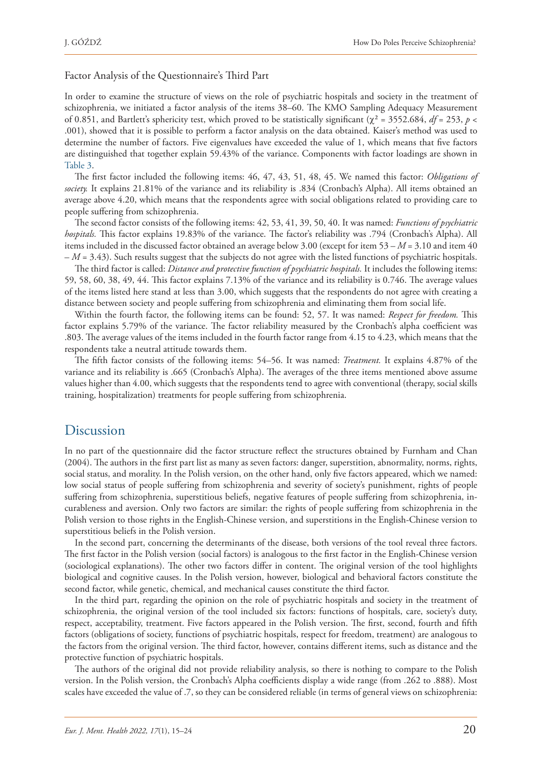#### Factor Analysis of the Questionnaire's Third Part

In order to examine the structure of views on the role of psychiatric hospitals and society in the treatment of schizophrenia, we initiated a factor analysis of the items 38–60. The KMO Sampling Adequacy Measurement of 0.851, and Bartlett's sphericity test, which proved to be statistically significant (χ<sup>2</sup> = 3552.684, *df* = 253, *p* < .001), showed that it is possible to perform a factor analysis on the data obtained. Kaiser's method was used to determine the number of factors. Five eigenvalues have exceeded the value of 1, which means that five factors are distinguished that together explain 59.43% of the variance. Components with factor loadings are shown in Table 3.

The first factor included the following items: 46, 47, 43, 51, 48, 45. We named this factor: *Obligations of society.* It explains 21.81% of the variance and its reliability is .834 (Cronbach's Alpha). All items obtained an average above 4.20, which means that the respondents agree with social obligations related to providing care to people suffering from schizophrenia.

The second factor consists of the following items: 42, 53, 41, 39, 50, 40. It was named: *Functions of psychiatric hospitals.* This factor explains 19.83% of the variance. The factor's reliability was .794 (Cronbach's Alpha). All items included in the discussed factor obtained an average below 3.00 (except for item 53 – *M* = 3.10 and item 40  $-M = 3.43$ ). Such results suggest that the subjects do not agree with the listed functions of psychiatric hospitals.

The third factor is called: *Distance and protective function of psychiatric hospitals.* It includes the following items: 59, 58, 60, 38, 49, 44. This factor explains 7.13% of the variance and its reliability is 0.746. The average values of the items listed here stand at less than 3.00, which suggests that the respondents do not agree with creating a distance between society and people suffering from schizophrenia and eliminating them from social life.

Within the fourth factor, the following items can be found: 52, 57. It was named: *Respect for freedom.* This factor explains 5.79% of the variance. The factor reliability measured by the Cronbach's alpha coefficient was .803. The average values of the items included in the fourth factor range from 4.15 to 4.23, which means that the respondents take a neutral attitude towards them.

The fifth factor consists of the following items: 54–56. It was named: *Treatment.* It explains 4.87% of the variance and its reliability is .665 (Cronbach's Alpha). The averages of the three items mentioned above assume values higher than 4.00, which suggests that the respondents tend to agree with conventional (therapy, social skills training, hospitalization) treatments for people suffering from schizophrenia.

### Discussion

In no part of the questionnaire did the factor structure reflect the structures obtained by Furnham and Chan (2004). The authors in the first part list as many as seven factors: danger, superstition, abnormality, norms, rights, social status, and morality. In the Polish version, on the other hand, only five factors appeared, which we named: low social status of people suffering from schizophrenia and severity of society's punishment, rights of people suffering from schizophrenia, superstitious beliefs, negative features of people suffering from schizophrenia, incurableness and aversion. Only two factors are similar: the rights of people suffering from schizophrenia in the Polish version to those rights in the English-Chinese version, and superstitions in the English-Chinese version to superstitious beliefs in the Polish version.

In the second part, concerning the determinants of the disease, both versions of the tool reveal three factors. The first factor in the Polish version (social factors) is analogous to the first factor in the English-Chinese version (sociological explanations). The other two factors differ in content. The original version of the tool highlights biological and cognitive causes. In the Polish version, however, biological and behavioral factors constitute the second factor, while genetic, chemical, and mechanical causes constitute the third factor.

In the third part, regarding the opinion on the role of psychiatric hospitals and society in the treatment of schizophrenia, the original version of the tool included six factors: functions of hospitals, care, society's duty, respect, acceptability, treatment. Five factors appeared in the Polish version. The first, second, fourth and fifth factors (obligations of society, functions of psychiatric hospitals, respect for freedom, treatment) are analogous to the factors from the original version. The third factor, however, contains different items, such as distance and the protective function of psychiatric hospitals.

The authors of the original did not provide reliability analysis, so there is nothing to compare to the Polish version. In the Polish version, the Cronbach's Alpha coefficients display a wide range (from .262 to .888). Most scales have exceeded the value of .7, so they can be considered reliable (in terms of general views on schizophrenia: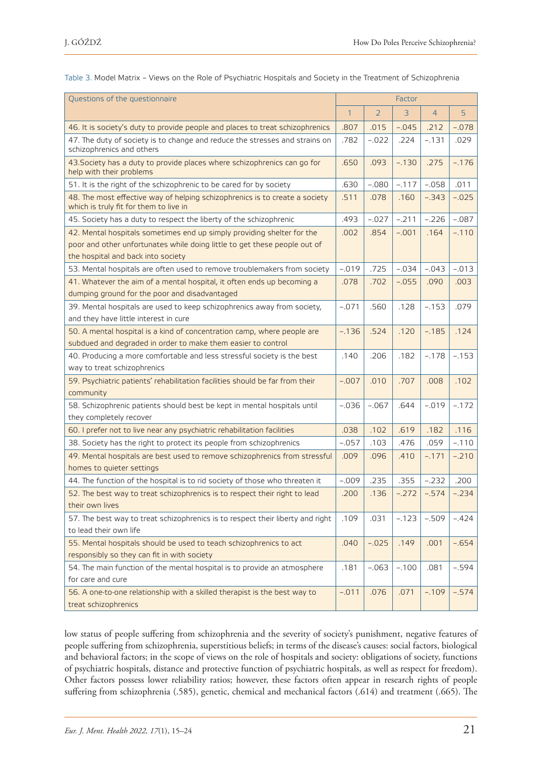| Questions of the questionnaire                                                                                                                                                            |              | Factor         |         |                |         |
|-------------------------------------------------------------------------------------------------------------------------------------------------------------------------------------------|--------------|----------------|---------|----------------|---------|
|                                                                                                                                                                                           | $\mathbf{1}$ | $\overline{2}$ | 3       | $\overline{4}$ | 5       |
| 46. It is society's duty to provide people and places to treat schizophrenics                                                                                                             | .807         | .015           | $-.045$ | .212           | $-.078$ |
| 47. The duty of society is to change and reduce the stresses and strains on<br>schizophrenics and others                                                                                  | .782         | $-.022$        | .224    | $-.131$        | .029    |
| 43. Society has a duty to provide places where schizophrenics can go for<br>help with their problems                                                                                      | .650         | .093           | $-.130$ | .275           | $-.176$ |
| 51. It is the right of the schizophrenic to be cared for by society                                                                                                                       | .630         | $-.080$        | $-.117$ | $-.058$        | .011    |
| 48. The most effective way of helping schizophrenics is to create a society<br>which is truly fit for them to live in                                                                     | .511         | .078           | .160    | $-.343$        | $-.025$ |
| 45. Society has a duty to respect the liberty of the schizophrenic                                                                                                                        | .493         | $-.027$        | $-.211$ | $-.226$        | $-.087$ |
| 42. Mental hospitals sometimes end up simply providing shelter for the<br>poor and other unfortunates while doing little to get these people out of<br>the hospital and back into society | .002         | .854           | $-.001$ | .164           | $-.110$ |
| 53. Mental hospitals are often used to remove troublemakers from society                                                                                                                  | $-.019$      | .725           | $-.034$ | $-.043$        | $-.013$ |
| 41. Whatever the aim of a mental hospital, it often ends up becoming a<br>dumping ground for the poor and disadvantaged                                                                   | .078         | .702           | $-.055$ | .090           | .003    |
| 39. Mental hospitals are used to keep schizophrenics away from society,<br>and they have little interest in cure                                                                          | $-.071$      | .560           | .128    | $-.153$        | .079    |
| 50. A mental hospital is a kind of concentration camp, where people are<br>subdued and degraded in order to make them easier to control                                                   | $-.136$      | .524           | .120    | $-.185$        | .124    |
| 40. Producing a more comfortable and less stressful society is the best<br>way to treat schizophrenics                                                                                    | .140         | .206           | .182    | $-.178$        | $-.153$ |
| 59. Psychiatric patients' rehabilitation facilities should be far from their<br>community                                                                                                 | $-.007$      | .010           | .707    | .008           | .102    |
| 58. Schizophrenic patients should best be kept in mental hospitals until<br>they completely recover                                                                                       | $-.036$      | $-.067$        | .644    | $-.019$        | $-.172$ |
| 60. I prefer not to live near any psychiatric rehabilitation facilities                                                                                                                   | .038         | .102           | .619    | .182           | .116    |
| 38. Society has the right to protect its people from schizophrenics                                                                                                                       | $-.057$      | .103           | .476    | .059           | $-.110$ |
| 49. Mental hospitals are best used to remove schizophrenics from stressful<br>homes to quieter settings                                                                                   | .009         | .096           | .410    | $-.171$        | $-.210$ |
| 44. The function of the hospital is to rid society of those who threaten it                                                                                                               | $-.009$      | .235           | .355    | $-.232$        | .200    |
| 52. The best way to treat schizophrenics is to respect their right to lead<br>their own lives                                                                                             | .200         | .136           | $-.272$ | $-.574$        | $-.234$ |
| 57. The best way to treat schizophrenics is to respect their liberty and right<br>to lead their own life                                                                                  | .109         | .031           | $-.123$ | $-.509$        | $-.424$ |
| 55. Mental hospitals should be used to teach schizophrenics to act                                                                                                                        | .040         | $-.025$        | .149    | .001           | $-.654$ |
| responsibly so they can fit in with society<br>54. The main function of the mental hospital is to provide an atmosphere<br>for care and cure                                              | .181         | $-.063$        | $-.100$ | .081           | $-.594$ |
| 56. A one-to-one relationship with a skilled therapist is the best way to<br>treat schizophrenics                                                                                         | $-.011$      | .076           | .071    | $-.109$        | $-.574$ |

Table 3. Model Matrix – Views on the Role of Psychiatric Hospitals and Society in the Treatment of Schizophrenia

low status of people suffering from schizophrenia and the severity of society's punishment, negative features of people suffering from schizophrenia, superstitious beliefs; in terms of the disease's causes: social factors, biological and behavioral factors; in the scope of views on the role of hospitals and society: obligations of society, functions of psychiatric hospitals, distance and protective function of psychiatric hospitals, as well as respect for freedom). Other factors possess lower reliability ratios; however, these factors often appear in research rights of people suffering from schizophrenia (.585), genetic, chemical and mechanical factors (.614) and treatment (.665). The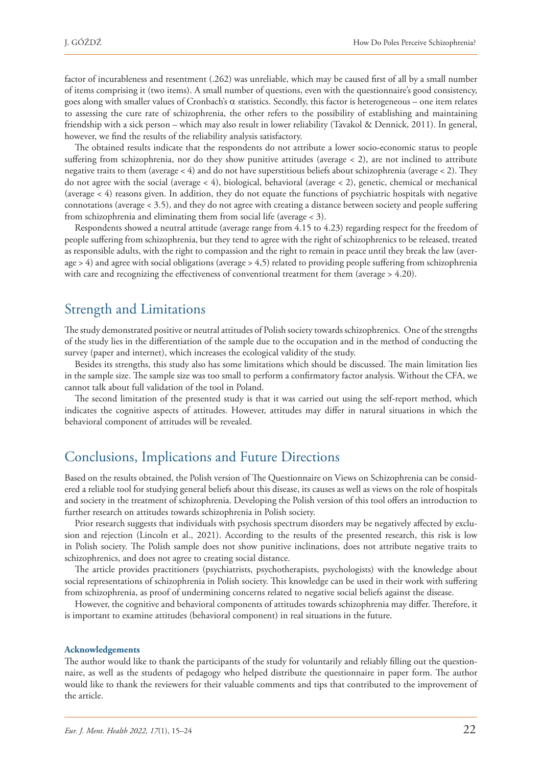factor of incurableness and resentment (.262) was unreliable, which may be caused first of all by a small number of items comprising it (two items). A small number of questions, even with the questionnaire's good consistency, goes along with smaller values of Cronbach's  $\alpha$  statistics. Secondly, this factor is heterogeneous – one item relates to assessing the cure rate of schizophrenia, the other refers to the possibility of establishing and maintaining friendship with a sick person – which may also result in lower reliability (Tavakol & Dennick, 2011). In general, however, we find the results of the reliability analysis satisfactory.

The obtained results indicate that the respondents do not attribute a lower socio-economic status to people suffering from schizophrenia, nor do they show punitive attitudes (average < 2), are not inclined to attribute negative traits to them (average < 4) and do not have superstitious beliefs about schizophrenia (average < 2). They do not agree with the social (average < 4), biological, behavioral (average < 2), genetic, chemical or mechanical (average < 4) reasons given. In addition, they do not equate the functions of psychiatric hospitals with negative connotations (average < 3.5), and they do not agree with creating a distance between society and people suffering from schizophrenia and eliminating them from social life (average < 3).

Respondents showed a neutral attitude (average range from 4.15 to 4.23) regarding respect for the freedom of people suffering from schizophrenia, but they tend to agree with the right of schizophrenics to be released, treated as responsible adults, with the right to compassion and the right to remain in peace until they break the law (average > 4) and agree with social obligations (average > 4,5) related to providing people suffering from schizophrenia with care and recognizing the effectiveness of conventional treatment for them (average > 4.20).

# Strength and Limitations

The study demonstrated positive or neutral attitudes of Polish society towards schizophrenics. One of the strengths of the study lies in the differentiation of the sample due to the occupation and in the method of conducting the survey (paper and internet), which increases the ecological validity of the study.

Besides its strengths, this study also has some limitations which should be discussed. The main limitation lies in the sample size. The sample size was too small to perform a confirmatory factor analysis. Without the CFA, we cannot talk about full validation of the tool in Poland.

The second limitation of the presented study is that it was carried out using the self-report method, which indicates the cognitive aspects of attitudes. However, attitudes may differ in natural situations in which the behavioral component of attitudes will be revealed.

# Conclusions, Implications and Future Directions

Based on the results obtained, the Polish version of The Questionnaire on Views on Schizophrenia can be considered a reliable tool for studying general beliefs about this disease, its causes as well as views on the role of hospitals and society in the treatment of schizophrenia. Developing the Polish version of this tool offers an introduction to further research on attitudes towards schizophrenia in Polish society.

Prior research suggests that individuals with psychosis spectrum disorders may be negatively affected by exclusion and rejection (Lincoln et al., 2021). According to the results of the presented research, this risk is low in Polish society. The Polish sample does not show punitive inclinations, does not attribute negative traits to schizophrenics, and does not agree to creating social distance.

The article provides practitioners (psychiatrists, psychotherapists, psychologists) with the knowledge about social representations of schizophrenia in Polish society. This knowledge can be used in their work with suffering from schizophrenia, as proof of undermining concerns related to negative social beliefs against the disease.

However, the cognitive and behavioral components of attitudes towards schizophrenia may differ. Therefore, it is important to examine attitudes (behavioral component) in real situations in the future.

#### **Acknowledgements**

The author would like to thank the participants of the study for voluntarily and reliably filling out the questionnaire, as well as the students of pedagogy who helped distribute the questionnaire in paper form. The author would like to thank the reviewers for their valuable comments and tips that contributed to the improvement of the article.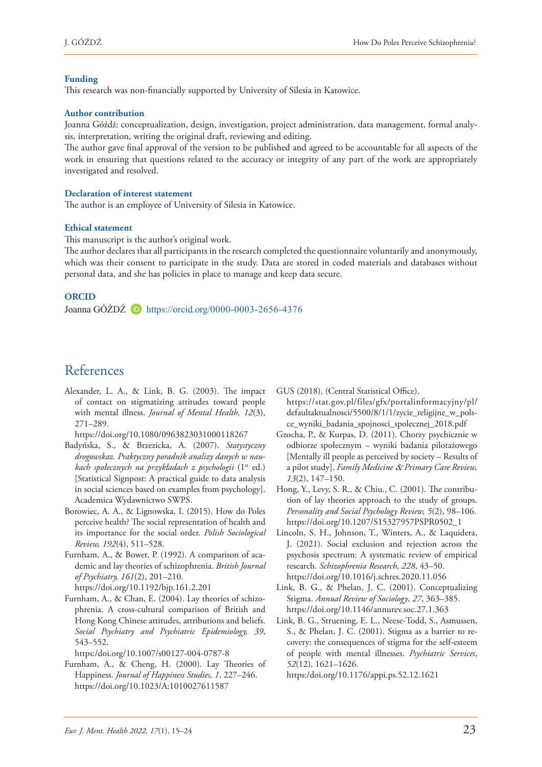#### **Funding**

This research was non-financially supported by University of Silesia in Katowice.

#### **Author contribution**

Joanna Góźdź: conceptualization, design, investigation, project administration, data management, formal analysis, interpretation, writing the original draft, reviewing and editing.

The author gave final approval of the version to be published and agreed to be accountable for all aspects of the work in ensuring that questions related to the accuracy or integrity of any part of the work are appropriately investigated and resolved.

#### **Declaration of interest statement**

The author is an employee of University of Silesia in Katowice.

#### **Ethical statement**

This manuscript is the author's original work.

The author declares that all participants in the research completed the questionnaire voluntarily and anonymously, which was their consent to participate in the study. Data are stored in coded materials and databases without personal data, and she has policies in place to manage and keep data secure.

#### **ORCID**

Joanna GÓŹDŹ <https://orcid.org/0000-0003-2656-4376>

# References

Alexander, L. A., & Link, B. G. (2003). The impact of contact on stigmatizing attitudes toward people with mental illness. *Journal of Mental Health, 12*(3), 271–289.

[https://doi.org/10.1080/0963823031000118267](https://psycnet.apa.org/doi/10.1080/0963823031000118267)

- Badyńska, S., & Brzezicka, A. (2007). *Statystyczny drogowskaz. Praktyczny poradnik analizy danych w naukach społecznych na przykładach z psychologii* (1st ed.) [Statistical Signpost: A practical guide to data analysis in social sciences based on examples from psychology]. Academica Wydawnictwo SWPS.
- Borowiec, A. A., & Lignowska, I. (2015). How do Poles perceive health? The social representation of health and its importance for the social order. *Polish Sociological Review, 192*(4), 511–528.
- Furnham, A., & Bower, P. (1992). A comparison of academic and lay theories of schizophrenia. *British Journal of Psychiatry, 161*(2), 201–210. <https://doi.org/10.1192/bjp.161.2.201>
- Furnham, A., & Chan, E. (2004). Lay theories of schizophrenia. A cross-cultural comparison of British and Hong Kong Chinese attitudes, attributions and beliefs. *Social Psychiatry and Psychiatric Epidemiology, 39*, 543–552.

[https:/doi.org/10.1007/s00127-004-0787-8](https://doi.org/10.1007/s00127-004-0787-8)

Furnham, A., & Cheng, H. (2000). Lay Theories of Happiness. *Journal of Happiness Studies, 1*, 227–246. [https://doi.org/10.1023/A:1010027611587](https://psycnet.apa.org/doi/10.1023/A:1010027611587)

GUS (2018). (Central Statistical Office). [https://stat.gov.pl/files/gfx/portalinformacyjny/pl/](https://stat.gov.pl/files/gfx/portalinformacyjny/pl/defaultaktualnosci/5500/8/1/1/zycie_religijne_w_polsce_wyniki_badania_spojnosci_spolecznej_2018.pdf) [defaultaktualnosci/5500/8/1/1/zycie\\_religijne\\_w\\_pols](https://stat.gov.pl/files/gfx/portalinformacyjny/pl/defaultaktualnosci/5500/8/1/1/zycie_religijne_w_polsce_wyniki_badania_spojnosci_spolecznej_2018.pdf)[ce\\_wyniki\\_badania\\_spojnosci\\_spolecznej\\_2018.pdf](https://stat.gov.pl/files/gfx/portalinformacyjny/pl/defaultaktualnosci/5500/8/1/1/zycie_religijne_w_polsce_wyniki_badania_spojnosci_spolecznej_2018.pdf)

- Gzocha, P., & Kurpas, D. (2011). Chorzy psychicznie w odbiorze społecznym – wyniki badania pilotażowego [Mentally ill people as perceived by society – Results of a pilot study]. *Family Medicine* & *Primary Care Review, 13*(2), 147–150.
- Hong, Y., Levy, S. R., & Chiu., C. (2001). The contribution of lay theories approach to the study of groups. *Personality and Social Psychology Review, 5*(2), 98–106. [https://doi.org/10.1207/S15327957PSPR0502\\_1](https://psycnet.apa.org/doi/10.1207/S15327957PSPR0502_1)
- Lincoln, S. H., Johnson, T., Winters, A., & Laquidera, J. (2021). Social exclusion and rejection across the psychosis spectrum: A systematic review of empirical research. *Schizophrenia Research, 228*, 43–50. <https://doi.org/10.1016/j.schres.2020.11.056>
- Link, B. G., & Phelan, J. C. (2001). Conceptualizing Stigma. *Annual Review of Sociology*, *27*, 363–385. <https://doi.org/10.1146/annurev.soc.27.1.363>
- Link, B. G., Struening, E. L., Neese-Todd, S., Asmussen, S., & Phelan, J. C. (2001). Stigma as a barrier to recovery: the consequences of stigma for the self-esteem of people with mental illnesses. *Psychiatric Services*, *52*(12), 1621–1626.

https:/doi.org[/10.1176/appi.ps.52.12.1621](https://doi.org/10.1176/appi.ps.52.12.1621)